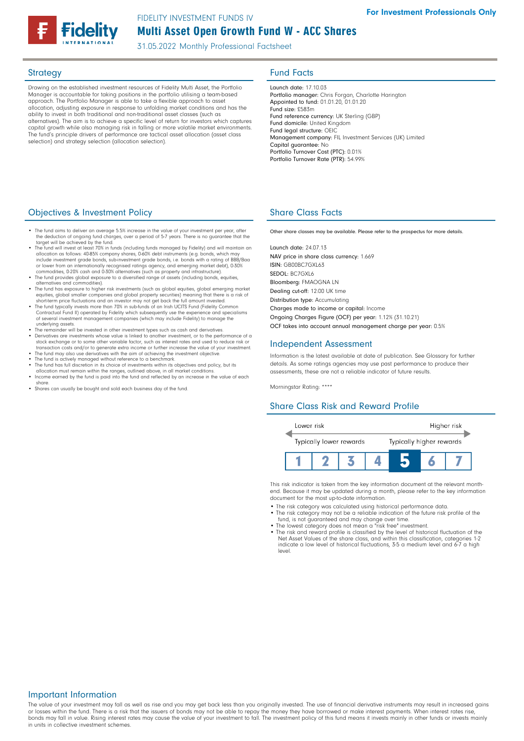# Multi Asset Open Growth Fund W - ACC Shares FIDELITY INVESTMENT FUNDS IV

31.05.2022 Monthly Professional Factsheet

Drawing on the established investment resources of Fidelity Multi Asset, the Portfolio Manager is accountable for taking positions in the portfolio utilising a team-based approach. The Portfolio Manager is able to take a flexible approach to asset allocation, adjusting exposure in response to unfolding market conditions and has the ability to invest in both traditional and non-traditional asset classes (such as alternatives). The aim is to achieve a specific level of return for investors which captures capital growth while also managing risk in falling or more volatile market environments. The fund's principle drivers of performance are tactical asset allocation (asset class selection) and strategy selection (allocation selection).

## Strategy **Fund Facts**

Launch date: 17.10.03 Portfolio manager: Chris Forgan, Charlotte Harington Appointed to fund: 01.01.20, 01.01.20 Fund size: £583m Fund reference currency: UK Sterling (GBP) Fund domicile: United Kingdom Fund legal structure: OEIC Management company: FIL Investment Services (UK) Limited Capital guarantee: No Portfolio Turnover Cost (PTC): 0.01% Portfolio Turnover Rate (PTR): 54.99%

### **Objectives & Investment Policy Share Class Facts** Share Class Facts

- The fund aims to deliver an average 5.5% increase in the value of your investment per year, after the deduction of ongoing fund charges, over a period of 5-7 years. There is no guarantee that the target will be achieved by the fund.
- The fund will invest at least 70% in funds (including funds managed by Fidelity) and will maintain an •<br>allocation as follows: 40-85% company shares, 0-60% debt instruments (e.g. bonds, which may<br>include investment grade
- or lower from an internationally recognised ratings agency, and emerging market debt), 0-30%<br>commodities, 0-20% cash and 0-30% alternatives (such as property and infrastructure).<br>• The fund provides global exposure to a di
- alternatives and commodities). The fund has exposure to higher risk investments (such as global equities, global emerging market
- equities, global smaller companies and global property securities) meaning that there is a risk of<br>short-term price fluctuations and an investor may not get back the full amount invested.<br>• The fund typically invests more Contractual Fund II) operated by Fidelity which subsequently use the experience and specialisms of several investment management companies (which may include Fidelity) to manage the underlying assets.
- The remainder will be invested in other investment types such as cash and derivatives. Derivatives are investments whose value is linked to another investment, or to the performance of a stock exchange or to some other variable factor, such as interest rates and used to reduce risk or<br>transaction costs and/or to generate extra income or further increase the value of your investment.<br>• The fund may also use
- 
- 
- The fund is actively managed without reference to a benchmark.<br>• The fund has full discretion in its choice of investments within its objectives and policy, but its<br>allocation must remain within the ranges, outlined abov
- Income earned by the fund is paid into the fund and reflected by an increase in the value of each share.
- Shares can usually be bought and sold each business day of the fund.

Other share classes may be available. Please refer to the prospectus for more details.

Launch date: 24.07.13 NAV price in share class currency: 1.669 ISIN: GB00BC7GXL63 SEDOL: BC7GXL6 Bloomberg: FMAOGNA LN Dealing cut-off: 12:00 UK time Distribution type: Accumulating Charges made to income or capital: Income Ongoing Charges Figure (OCF) per year: 1.12% (31.10.21) OCF takes into account annual management charge per year: 0.5%

### Independent Assessment

Information is the latest available at date of publication. See Glossary for further details. As some ratings agencies may use past performance to produce their assessments, these are not a reliable indicator of future results.

Morningstar Rating: \*\*\*\*

### Share Class Risk and Reward Profile



This risk indicator is taken from the key information document at the relevant monthend. Because it may be updated during a month, please refer to the key information document for the most up-to-date information.

- The risk category was calculated using historical performance data.
- The risk category may not be a reliable indication of the future risk profile of the fund, is not guaranteed and may change over time.
- The lowest category does not mean a "risk free" investment. The risk and reward profile is classified by the level of historical fluctuation of the
- Net Asset Values of the share class, and within this classification, categories 1-2 indicate a low level of historical fluctuations, 3-5 a medium level and 6-7 a high level.

### Important Information

The value of your investment may fall as well as rise and you may get back less than you originally invested. The use of financial derivative instruments may result in increased gains or losses within the fund. There is a risk that the issuers of bonds may not be able to repay the money they have borrowed or make interest payments. When interest rates rise, bonds may fall in value. Rising interest rates may cause the value of your investment to fall. The investment policy of this fund means it invests mainly in other funds or invests mainly in units in collective investment schemes.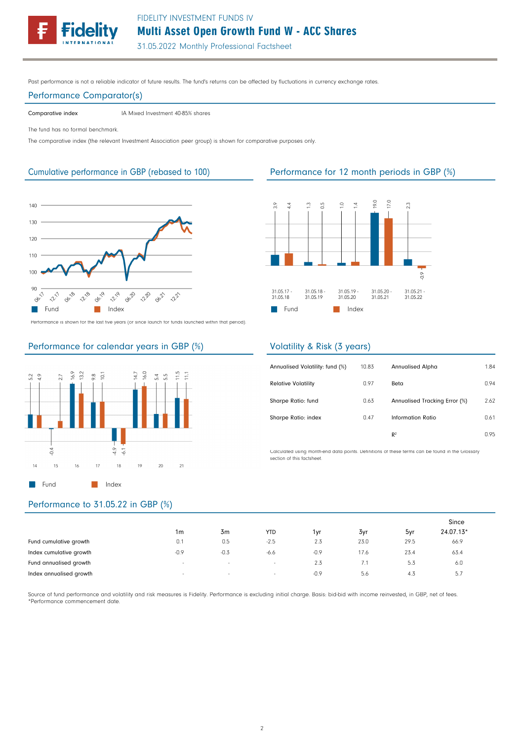FIDELITY INVESTMENT FUNDS IV

Multi Asset Open Growth Fund W - ACC Shares

31.05.2022 Monthly Professional Factsheet

Past performance is not a reliable indicator of future results. The fund's returns can be affected by fluctuations in currency exchange rates.

### Performance Comparator(s)

Comparative index IA Mixed Investment 40-85% shares

The fund has no formal benchmark.

The comparative index (the relevant Investment Association peer group) is shown for comparative purposes only.



Performance is shown for the last five years (or since launch for funds launched within that period).

# Performance for calendar years in GBP (%)



# Performance to 31.05.22 in GBP (%)

|                         |                          |        |                          |        |      |      | Since     |
|-------------------------|--------------------------|--------|--------------------------|--------|------|------|-----------|
|                         | 1m                       | 3m     | <b>YTD</b>               | 1vr    | 3yr  | 5yr  | 24.07.13* |
| Fund cumulative growth  | 0.1                      | 0.5    | $-2.5$                   | 2.3    | 23.0 | 29.5 | 66.9      |
| Index cumulative growth | $-0.9$                   | $-0.3$ | $-6.6$                   | $-0.9$ | 17.6 | 23.4 | 63.4      |
| Fund annualised growth  | $\sim$                   | $\sim$ | $\overline{\phantom{a}}$ | 2.3    |      | 5.3  | 6.0       |
| Index annualised growth | $\overline{\phantom{a}}$ | $\sim$ | $\sim$                   | $-0.9$ | 5.6  | 4.3  | 5.7       |

Source of fund performance and volatility and risk measures is Fidelity. Performance is excluding initial charge. Basis: bid-bid with income reinvested, in GBP, net of fees. \*Performance commencement date.

## Cumulative performance in GBP (rebased to 100) Performance for 12 month periods in GBP (%)



### Volatility & Risk (3 years)

| Annualised Volatility: fund (%) | 10.83 | <b>Annualised Alpha</b>       | 1.84 |
|---------------------------------|-------|-------------------------------|------|
| <b>Relative Volatility</b>      | 0.97  | Beta                          | 0.94 |
| Sharpe Ratio: fund              | 0.63  | Annualised Tracking Error (%) | 2.62 |
| Sharpe Ratio: index             | 0.47  | Information Ratio             | 0.61 |
|                                 |       | R <sup>2</sup>                | 0.95 |

Calculated using month-end data points. Definitions of these terms can be found in the Glossary section of this factsheet.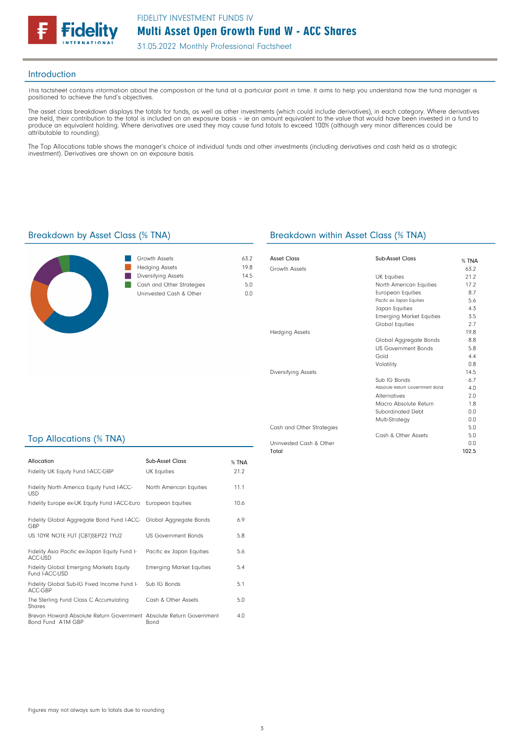

31.05.2022 Monthly Professional Factsheet

### Introduction

This factsheet contains information about the composition of the fund at a particular point in time. It aims to help you understand how the fund manager is positioned to achieve the fund's objectives.

The asset class breakdown displays the totals for funds, as well as other investments (which could include derivatives), in each category. Where derivatives are held, their contribution to the total is included on an exposure basis – ie an amount equivalent to the value that would have been invested in a fund to produce an equivalent holding. Where derivatives are used they may cause fund totals to exceed 100% (although very minor differences could be attributable to rounding).

The Top Allocations table shows the manager's choice of individual funds and other investments (including derivatives and cash held as a strategic investment). Derivatives are shown on an exposure basis.



| Growth Assets             | 632    |
|---------------------------|--------|
| <b>Hedging Assets</b>     | 198    |
| Diversifying Assets       | 14.5   |
| Cash and Other Strategies | 5 N    |
| Uninvested Cash & Other   | 11 L I |
|                           |        |

### Breakdown by Asset Class (% TNA) Breakdown within Asset Class (% TNA)

| Asset Class               | Sub-Asset Class                 | $%$ TNA |
|---------------------------|---------------------------------|---------|
| Growth Assets             |                                 | 63.2    |
|                           | <b>UK Equities</b>              | 21.2    |
|                           | North American Equities         | 17.2    |
|                           | <b>European Equities</b>        | 8.7     |
|                           | Pacific ex Japan Equities       | 5.6     |
|                           | Japan Equities                  | 4.3     |
|                           | <b>Emerging Market Equities</b> | 3.5     |
|                           | Global Equities                 | 2.7     |
| <b>Hedging Assets</b>     |                                 | 19.8    |
|                           | Global Aggregate Bonds          | 8.8     |
|                           | <b>US Government Bonds</b>      | 5.8     |
|                           | Gold                            | 4.4     |
|                           | Volatility                      | 0.8     |
| Diversifying Assets       |                                 | 14.5    |
|                           | Sub IG Bonds                    | 6.7     |
|                           | Absolute Return Government Bond | 4.0     |
|                           | <b>Alternatives</b>             | 2.0     |
|                           | Macro Absolute Return           | 1.8     |
|                           | Subordinated Debt               | 0.0     |
|                           | Multi-Strategy                  | 0.0     |
| Cash and Other Strategies |                                 | 5.0     |
|                           | Cash & Other Assets             | 5.0     |
| Uninvested Cash & Other   |                                 | 0.0     |
| Total                     |                                 | 102.5   |

## Top Allocations (% TNA)

| Allocation<br>Fidelity UK Equity Fund I-ACC-GBP                                          | Sub-Asset Class<br><b>UK Equities</b> | % TNA<br>21.2 |
|------------------------------------------------------------------------------------------|---------------------------------------|---------------|
| Fidelity North America Equity Fund I-ACC-<br><b>USD</b>                                  | North American Equities               | 11.1          |
| Fidelity Europe ex-UK Equity Fund I-ACC-Euro                                             | <b>European Equities</b>              | 10.6          |
| Fidelity Global Aggregate Bond Fund I-ACC- Global Aggregate Bonds<br>GBP                 |                                       | 6.9           |
| US 10YR NOTE FUT (CBT)SEP22 TYU2                                                         | <b>US Government Bonds</b>            | 5.8           |
| Fidelity Asia Pacific ex-Japan Equity Fund I-<br>ACC-USD                                 | Pacific ex Japan Equities             | 5.6           |
| Fidelity Global Emerging Markets Equity<br>Fund I-ACC-USD                                | <b>Emerging Market Equities</b>       | 5.4           |
| Fidelity Global Sub-IG Fixed Income Fund I-<br>ACC-GBP                                   | Sub IG Bonds                          | 5.1           |
| The Sterling Fund Class C Accumulating<br>Shares                                         | Cash & Other Assets                   | 5.0           |
| Brevan Howard Absolute Return Government Absolute Return Government<br>Bond Fund A1M GBP | Bond                                  | 4.0           |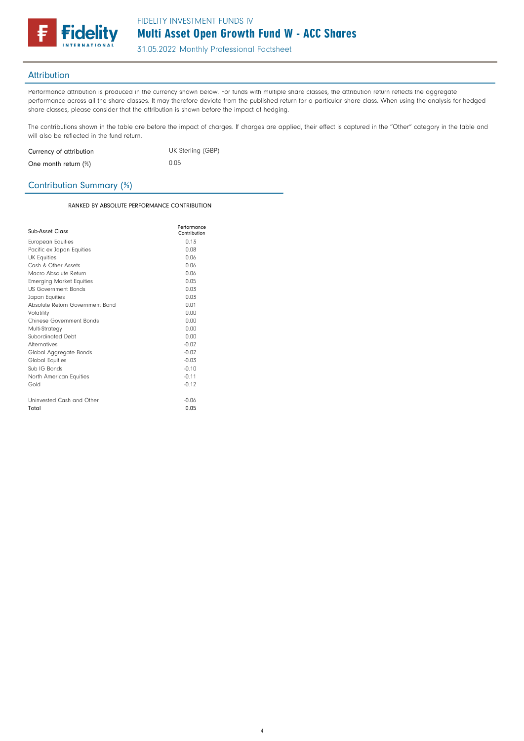

31.05.2022 Monthly Professional Factsheet

## **Attribution**

Performance attribution is produced in the currency shown below. For funds with multiple share classes, the attribution return reflects the aggregate performance across all the share classes. It may therefore deviate from the published return for a particular share class. When using the analysis for hedged share classes, please consider that the attribution is shown before the impact of hedging.

The contributions shown in the table are before the impact of charges. If charges are applied, their effect is captured in the "Other" category in the table and will also be reflected in the fund return.

| Currency of attribution | UK Sterling (GBP) |
|-------------------------|-------------------|
| One month return (%)    | 0.05              |

## Contribution Summary (%)

RANKED BY ABSOLUTE PERFORMANCE CONTRIBUTION

| Sub-Asset Class                 | Performance<br>Contribution |
|---------------------------------|-----------------------------|
| European Equities               | 0.13                        |
| Pacific ex Japan Equities       | 0.08                        |
| <b>UK Equities</b>              | 0.06                        |
| Cash & Other Assets             | 0.06                        |
| Macro Absolute Return           | 0 Q Q                       |
| <b>Emerging Market Equities</b> | 0.05                        |
| <b>US Government Bonds</b>      | 0.03                        |
| Japan Equities                  | 0.03                        |
| Absolute Return Government Bond | 0.01                        |
| Volatility                      | 0.00                        |
| Chinese Government Bonds        | 0.00                        |
| Multi-Strategy                  | 0.00                        |
| Subordinated Debt               | 0.00                        |
| <b>Alternatives</b>             | $-0.02$                     |
| Global Aggregate Bonds          | $-0.02$                     |
| <b>Global Equities</b>          | $-0.03$                     |
| Sub IG Bonds                    | $-0.10$                     |
| North American Equities         | $-0.11$                     |
| Gold                            | $-0.12$                     |
| Uninvested Cash and Other       | $-0.06$                     |
| Total                           | 0.05                        |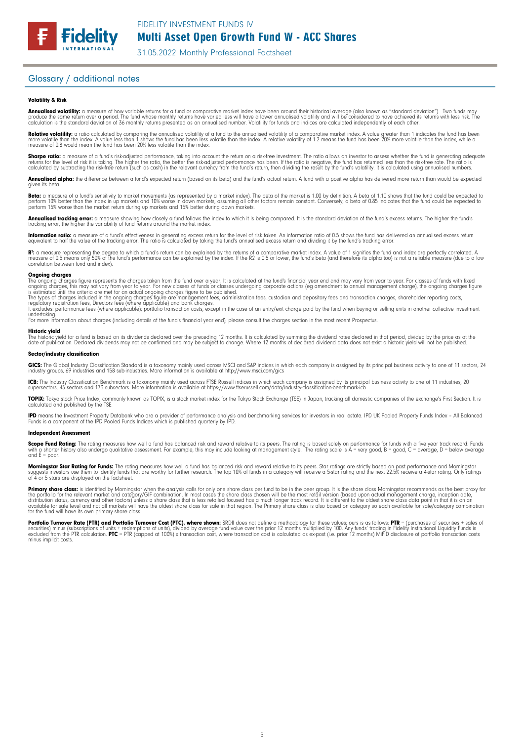# Multi Asset Open Growth Fund W - ACC Shares

31.05.2022 Monthly Professional Factsheet

## Glossary / additional notes

**Fidelity** 

### Volatility & Risk

**Annualised volatility:** a measure of how variable returns for a fund or comparative market index have been around their historical average (also known as "standard deviation"). Two funds may<br>produce the same return over a calculation is the standard deviation of 36 monthly returns presented as an annualised number. Volatility for funds and indices are calculated independently of each other.

**Relative volatility:** a ratio calculated by comparing the annualised volatility of a fund to the annualised volatility of a comparative market index. A value greater than 1 indicates the fund has been<br>more volatile than t measure of 0.8 would mean the fund has been 20% less volatile than the index.

**Sharpe ratio:** a measure of a fund's risk-adjusted performance, taking into account the return on a risk-free investment. The ratio allows an investor to assess whether the fund is generating adequate the fund is generati

**Annualised alpha:** the difference between a fund's expected return (based on its beta) and the fund's actual return. A fund with a positive alpha has delivered more return than would be expected given its beto

**Beta:** a measure of a fund's sensitivity to market movements (as represented by a market index). The beta of the market is 1.00 by definition. A beta of 1.10 shows that the fund could be expected to<br>perform 10% better tha

**Annualised tracking error:** a measure showing how closely a fund follows the index to which it is being compared. It is the standard deviation of the fund's excess returns. The higher the fund's<br>tracking error, the higher

**Information ratio:** a measure of a fund's effectiveness in generating excess return for the level of risk taken. An information ratio of 0.5 shows the fund has delivered an annualised excess return<br>equivalent to half the

R": a measure representing the degree to which a fund's return can be explained by the returns of a comparative market index. A value of 1 signifies the fund and index are perfectly correlated. A<br>measure of 0.5 means only correlation between fund and index).

### **Ongoing charges**<br>The ongoing charge

The ongoing charges figure represents the charges taken from the fund over a year. It is calculated at the fund's financial year end and may vary from year to year. For classes of funds with fixed<br>ongoing charges, this may

The types of charges included in the ongoing charges figure are management fees, administration fees, custodian and depositary fees and transaction charges, shareholder reporting costs,<br>regulatory registration fees, Direct

undertaking. For more information about charges (including details of the fund's financial year end), please consult the charges section in the most recent Prospectus.

### Historic yield

The historic yield for a fund is based on its dividends declared over the preceding 12 months. It is calculated by summing the dividend rates declared in that period, divided by the price as at the<br>date of publication. Dec

### Sector/industry classification

**GICS:** The Global Industry Classification Standard is a taxonomy mainly used across MSCI and S&P indices in which each company is assigned by its principal business activity to one of 11 sectors, 24<br>industry groups, 69 in

**ICB:** The Industry Classification Benchmark is a taxonomy mainly used across FTSE Russell indices in which each company is assigned by its principal business activity to one of 11 industries, 20<br>supersectors, 45 sectors a

**TOPIX:** Tokyo stock Price Index, commonly known as TOPIX, is a stock market index for the Tokyo Stock Exchange (TSE) in Japan, tracking all domestic companies of the exchange's First Section. It is<br>calculated and publishe

**IPD** means the Investment Property Databank who are a provider of performance analysis and benchmarking services for investors in real estate. IPD UK Pooled Property Funds Index - All Balanced<br>Funds is a component of the

### Independent Assessment

**Scope Fund Rating:** The rating measures how well a fund has balanced risk and reward relative to its peers. The rating is based solely on performance for funds with a five year track record. Funds<br>with a shorter history a and  $F =$  poor.

**Morningstar Star Rating for Funds:** The rating measures how well a fund has balanced risk and reward relative to its peers. Star ratings are strictly based on past performance and Morningstar<br>suggests investors use them t

**Primary share class:** is identified by Morningstar when the analysis calls tor only one share class per fund to be in the peer group. It is the share class Morningstar recommends as the best proxy for<br>the portfolio for th

Portfolio Turnover Rate (PTR) and Portfolio Turnover Cost (PTC), where shown: SRDII does not define a methodology for these values; ours is as follows: PTR = (purchases of securities + sales of<br>securities) minus (subscript minus implicit costs.